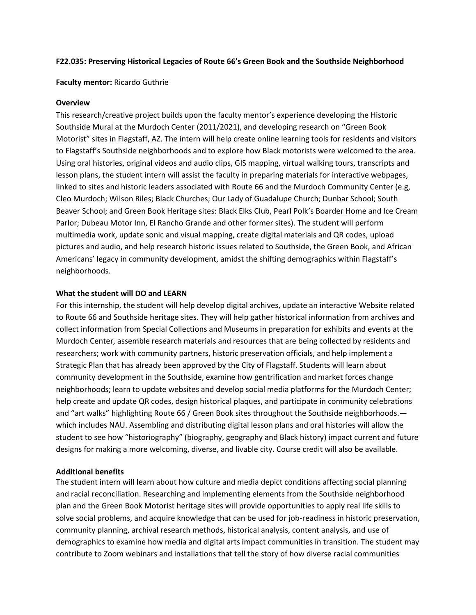## **F22.035: Preserving Historical Legacies of Route 66's Green Book and the Southside Neighborhood**

#### **Faculty mentor:** Ricardo Guthrie

#### **Overview**

This research/creative project builds upon the faculty mentor's experience developing the Historic Southside Mural at the Murdoch Center (2011/2021), and developing research on "Green Book Motorist" sites in Flagstaff, AZ. The intern will help create online learning tools for residents and visitors to Flagstaff's Southside neighborhoods and to explore how Black motorists were welcomed to the area. Using oral histories, original videos and audio clips, GIS mapping, virtual walking tours, transcripts and lesson plans, the student intern will assist the faculty in preparing materials for interactive webpages, linked to sites and historic leaders associated with Route 66 and the Murdoch Community Center (e.g, Cleo Murdoch; Wilson Riles; Black Churches; Our Lady of Guadalupe Church; Dunbar School; South Beaver School; and Green Book Heritage sites: Black Elks Club, Pearl Polk's Boarder Home and Ice Cream Parlor; Dubeau Motor Inn, El Rancho Grande and other former sites). The student will perform multimedia work, update sonic and visual mapping, create digital materials and QR codes, upload pictures and audio, and help research historic issues related to Southside, the Green Book, and African Americans' legacy in community development, amidst the shifting demographics within Flagstaff's neighborhoods.

## **What the student will DO and LEARN**

For this internship, the student will help develop digital archives, update an interactive Website related to Route 66 and Southside heritage sites. They will help gather historical information from archives and collect information from Special Collections and Museums in preparation for exhibits and events at the Murdoch Center, assemble research materials and resources that are being collected by residents and researchers; work with community partners, historic preservation officials, and help implement a Strategic Plan that has already been approved by the City of Flagstaff. Students will learn about community development in the Southside, examine how gentrification and market forces change neighborhoods; learn to update websites and develop social media platforms for the Murdoch Center; help create and update QR codes, design historical plaques, and participate in community celebrations and "art walks" highlighting Route 66 / Green Book sites throughout the Southside neighborhoods. which includes NAU. Assembling and distributing digital lesson plans and oral histories will allow the student to see how "historiography" (biography, geography and Black history) impact current and future designs for making a more welcoming, diverse, and livable city. Course credit will also be available.

#### **Additional benefits**

The student intern will learn about how culture and media depict conditions affecting social planning and racial reconciliation. Researching and implementing elements from the Southside neighborhood plan and the Green Book Motorist heritage sites will provide opportunities to apply real life skills to solve social problems, and acquire knowledge that can be used for job-readiness in historic preservation, community planning, archival research methods, historical analysis, content analysis, and use of demographics to examine how media and digital arts impact communities in transition. The student may contribute to Zoom webinars and installations that tell the story of how diverse racial communities